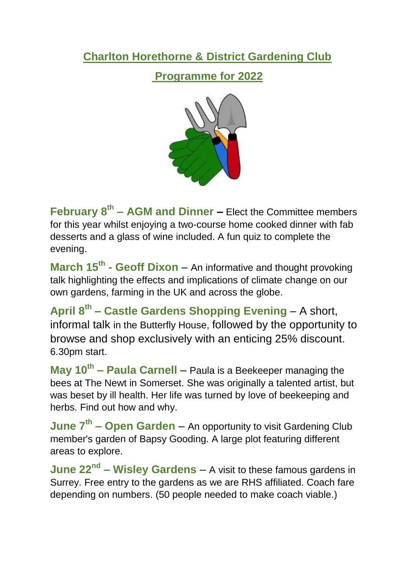## **Charlton Horethorne & District Gardening Club**

**Programme for 2022**



**February 8th – AGM and Dinner –** Elect the Committee members for this year whilst enjoying a two-course home cooked dinner with fab desserts and a glass of wine included. A fun quiz to complete the evening.

**March 15th - Geoff Dixon** – An informative and thought provoking talk highlighting the effects and implications of climate change on our own gardens, farming in the UK and across the globe.

**April 8th – Castle Gardens Shopping Evening** – A short, informal talk in the Butterfly House, followed by the opportunity to browse and shop exclusively with an enticing 25% discount. 6.30pm start.

**May 10th – Paula Carnell** – Paula is a Beekeeper managing the bees at The Newt in Somerset. She was originally a talented artist, but was beset by ill health. Her life was turned by love of beekeeping and herbs. Find out how and why.

**June 7th – Open Garden** – An opportunity to visit Gardening Club member's garden of Bapsy Gooding. A large plot featuring different areas to explore.

**June 22nd – Wisley Gardens** – A visit to these famous gardens in Surrey. Free entry to the gardens as we are RHS affiliated. Coach fare depending on numbers. (50 people needed to make coach viable.)